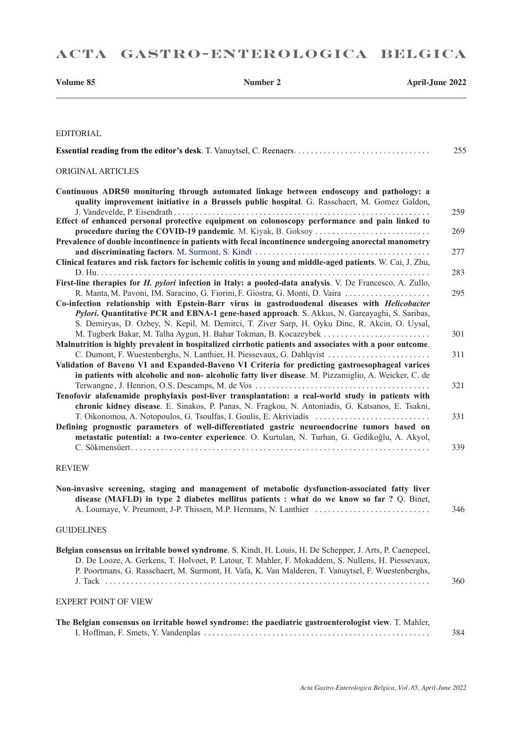| Volume 85                   | Number 2                                                                                                                                                                                                                                                                                                                                                                          | <b>April-June 2022</b> |
|-----------------------------|-----------------------------------------------------------------------------------------------------------------------------------------------------------------------------------------------------------------------------------------------------------------------------------------------------------------------------------------------------------------------------------|------------------------|
| <b>EDITORIAL</b>            |                                                                                                                                                                                                                                                                                                                                                                                   |                        |
|                             |                                                                                                                                                                                                                                                                                                                                                                                   | 255                    |
| ORIGINAL ARTICLES           |                                                                                                                                                                                                                                                                                                                                                                                   |                        |
|                             | Continuous ADR50 monitoring through automated linkage between endoscopy and pathology: a<br>quality improvement initiative in a Brussels public hospital. G. Rasschaert, M. Gomez Galdon,                                                                                                                                                                                         |                        |
|                             | Effect of enhanced personal protective equipment on colonoscopy performance and pain linked to                                                                                                                                                                                                                                                                                    | 259                    |
|                             | procedure during the COVID-19 pandemic. M. Kiyak, B. Goksoy<br>Prevalence of double incontinence in patients with fecal incontinence undergoing anorectal manometry                                                                                                                                                                                                               | 269                    |
|                             | Clinical features and risk factors for ischemic colitis in young and middle-aged patients. W. Cai, J. Zhu,                                                                                                                                                                                                                                                                        | 277                    |
|                             | First-line therapies for H. pylori infection in Italy: a pooled-data analysis. V. De Francesco, A. Zullo,                                                                                                                                                                                                                                                                         | 283                    |
|                             | R. Manta, M. Pavoni, IM. Saracino, G. Fiorini, F. Giostra, G. Monti, D. Vaira<br>Co-infection relationship with Epstein-Barr virus in gastroduodenal diseases with Helicobacter<br>Pylori. Quantitative PCR and EBNA-1 gene-based approach. S. Akkus, N. Gareayaghi, S. Saribas,<br>S. Demiryas, D. Ozbey, N. Kepil, M. Demirci, T. Ziver Sarp, H. Oyku Dinc, R. Akcin, O. Uysal, | 295                    |
|                             | Malnutrition is highly prevalent in hospitalized cirrhotic patients and associates with a poor outcome.                                                                                                                                                                                                                                                                           | 301                    |
|                             | C. Dumont, F. Wuestenberghs, N. Lanthier, H. Piessevaux, G. Dahlqvist<br>Validation of Baveno VI and Expanded-Baveno VI Criteria for predicting gastroesophageal varices<br>in patients with alcoholic and non-alcoholic fatty liver disease. M. Pizzamiglio, A. Weicker, C. de                                                                                                   | 311                    |
|                             | Tenofovir alafenamide prophylaxis post-liver transplantation: a real-world study in patients with<br>chronic kidney disease. E. Sinakos, P. Panas, N. Fragkou, N. Antoniadis, G. Katsanos, E. Tsakni,                                                                                                                                                                             | 321                    |
|                             | T. Oikonomou, A. Notopoulos, G. Tsoulfas, I. Goulis, E. Akriviadis<br>Defining prognostic parameters of well-differentiated gastric neuroendocrine tumors based on<br>metastatic potential: a two-center experience. O. Kurtulan, N. Turhan, G. Gedikoğlu, A. Akyol,                                                                                                              | 331                    |
|                             |                                                                                                                                                                                                                                                                                                                                                                                   | 339                    |
| <b>REVIEW</b>               |                                                                                                                                                                                                                                                                                                                                                                                   |                        |
|                             | Non-invasive screening, staging and management of metabolic dysfunction-associated fatty liver<br>disease (MAFLD) in type 2 diabetes mellitus patients : what do we know so far ? Q. Binet,                                                                                                                                                                                       | 346                    |
| <b>GUIDELINES</b>           |                                                                                                                                                                                                                                                                                                                                                                                   |                        |
|                             | Belgian consensus on irritable bowel syndrome. S. Kindt, H. Louis, H. De Schepper, J. Arts, P. Caenepeel,<br>D. De Looze, A. Gerkens, T. Holvoet, P. Latour, T. Mahler, F. Mokaddem, S. Nullens, H. Piessevaux,<br>P. Poortmans, G. Rasschaert, M. Surmont, H. Vafa, K. Van Malderen, T. Vanuytsel, F. Wuestenberghs,                                                             | 360                    |
| <b>EXPERT POINT OF VIEW</b> |                                                                                                                                                                                                                                                                                                                                                                                   |                        |
|                             | The Belgian consensus on irritable bowel syndrome: the paediatric gastroenterologist view. T. Mahler,                                                                                                                                                                                                                                                                             |                        |
|                             |                                                                                                                                                                                                                                                                                                                                                                                   | 384                    |